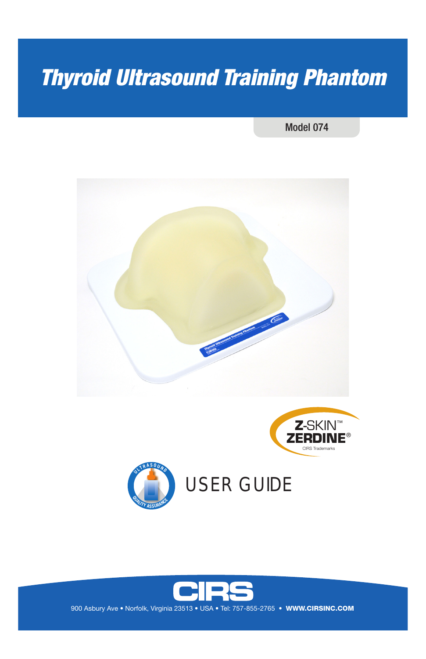# *Thyroid Ultrasound Training Phantom*

Model 074







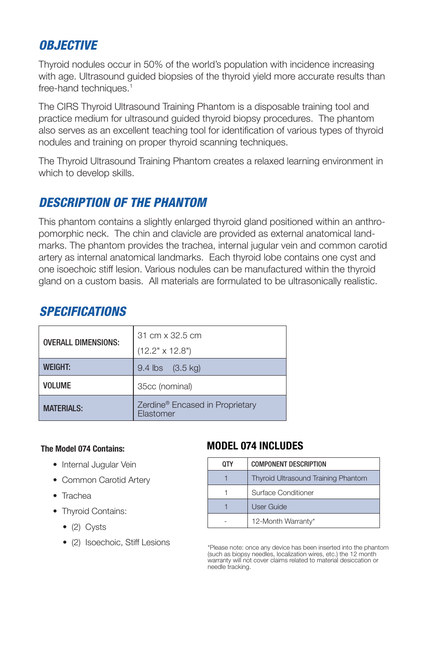## *OBJECTIVE*

Thyroid nodules occur in 50% of the world's population with incidence increasing with age. Ultrasound guided biopsies of the thyroid yield more accurate results than free-hand techniques.<sup>1</sup>

The CIRS Thyroid Ultrasound Training Phantom is a disposable training tool and practice medium for ultrasound guided thyroid biopsy procedures. The phantom also serves as an excellent teaching tool for identification of various types of thyroid nodules and training on proper thyroid scanning techniques.

The Thyroid Ultrasound Training Phantom creates a relaxed learning environment in which to develop skills.

### *DESCRIPTION OF THE PHANTOM*

This phantom contains a slightly enlarged thyroid gland positioned within an anthropomorphic neck. The chin and clavicle are provided as external anatomical landmarks. The phantom provides the trachea, internal jugular vein and common carotid artery as internal anatomical landmarks. Each thyroid lobe contains one cyst and one isoechoic stiff lesion. Various nodules can be manufactured within the thyroid gland on a custom basis. All materials are formulated to be ultrasonically realistic.

| <b>OVERALL DIMENSIONS:</b> | 31 cm x 32.5 cm                                          |  |
|----------------------------|----------------------------------------------------------|--|
|                            | $(12.2" \times 12.8")$                                   |  |
| <b>WEIGHT:</b>             | $9.4$ lbs $(3.5 \text{ kg})$                             |  |
| <b>VOLUME</b>              | 35cc (nominal)                                           |  |
| <b>MATFRIALS:</b>          | Zerdine <sup>®</sup> Encased in Proprietary<br>Elastomer |  |

#### *SPECIFICATIONS*

#### **The Model 074 Contains:**

- Internal Jugular Vein
- Common Carotid Artery
- Trachea
- Thyroid Contains:
	- (2) Cysts
	- (2) Isoechoic, Stiff Lesions

#### **MODEL 074 INCLUDES**

| OΤY | <b>COMPONENT DESCRIPTION</b>               |
|-----|--------------------------------------------|
|     | <b>Thyroid Ultrasound Training Phantom</b> |
|     | Surface Conditioner                        |
|     | User Guide                                 |
|     | 12-Month Warranty*                         |

\*Please note: once any device has been inserted into the phantom (such as biopsy needles, localization wires, etc.) the 12 month warranty will not cover claims related to material desiccation or needle tracking.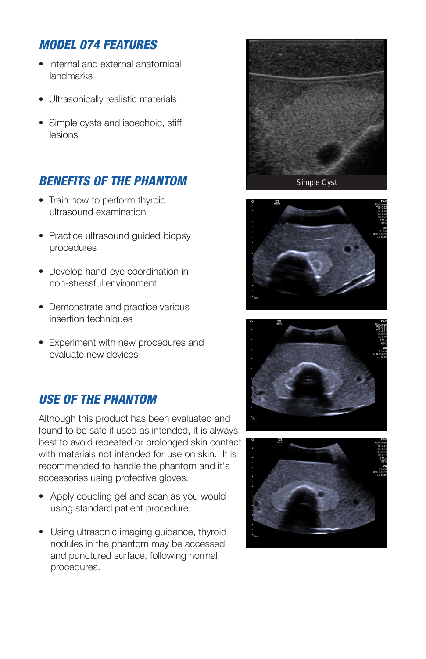## *MODEL 074 FEATURES*

- Internal and external anatomical landmarks
- Ultrasonically realistic materials
- Simple cysts and isoechoic, stiff lesions

## *BENEFITS OF THE PHANTOM*

- Train how to perform thyroid ultrasound examination
- Practice ultrasound quided biopsy procedures
- Develop hand-eye coordination in non-stressful environment
- Demonstrate and practice various insertion techniques
- Experiment with new procedures and evaluate new devices

## *USE OF THE PHANTOM*

Although this product has been evaluated and found to be safe if used as intended, it is always best to avoid repeated or prolonged skin contact with materials not intended for use on skin. It is recommended to handle the phantom and it's accessories using protective gloves.

- Apply coupling gel and scan as you would using standard patient procedure.
- Using ultrasonic imaging guidance, thyroid nodules in the phantom may be accessed and punctured surface, following normal procedures.







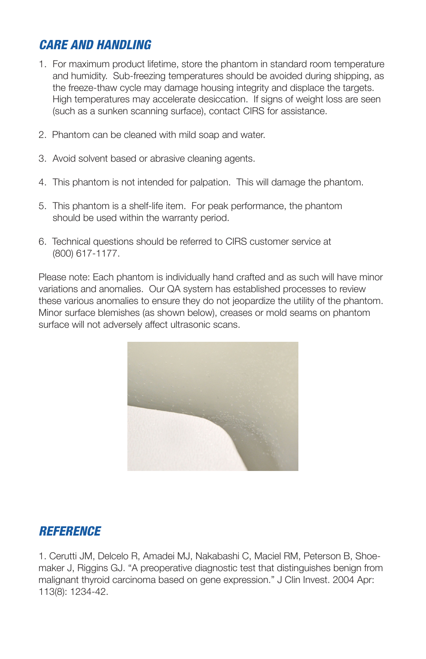## *CARE AND HANDLING*

- 1. For maximum product lifetime, store the phantom in standard room temperature and humidity. Sub-freezing temperatures should be avoided during shipping, as the freeze-thaw cycle may damage housing integrity and displace the targets. High temperatures may accelerate desiccation. If signs of weight loss are seen (such as a sunken scanning surface), contact CIRS for assistance.
- 2. Phantom can be cleaned with mild soap and water.
- 3. Avoid solvent based or abrasive cleaning agents.
- 4. This phantom is not intended for palpation. This will damage the phantom.
- 5. This phantom is a shelf-life item. For peak performance, the phantom should be used within the warranty period.
- 6. Technical questions should be referred to CIRS customer service at (800) 617-1177.

Please note: Each phantom is individually hand crafted and as such will have minor variations and anomalies. Our QA system has established processes to review these various anomalies to ensure they do not jeopardize the utility of the phantom. Minor surface blemishes (as shown below), creases or mold seams on phantom surface will not adversely affect ultrasonic scans.



#### *REFERENCE*

1. Cerutti JM, Delcelo R, Amadei MJ, Nakabashi C, Maciel RM, Peterson B, Shoemaker J, Riggins GJ. "A preoperative diagnostic test that distinguishes benign from malignant thyroid carcinoma based on gene expression." J Clin Invest. 2004 Apr: 113(8): 1234-42.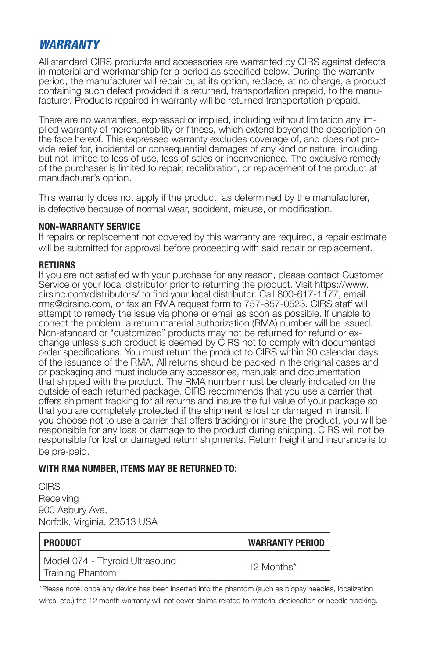#### *WARRANTY*

All standard CIRS products and accessories are warranted by CIRS against defects in material and workmanship for a period as specified below. During the warranty period, the manufacturer will repair or, at its option, replace, at no charge, a product containing such defect provided it is returned, transportation prepaid, to the manu- facturer. Products repaired in warranty will be returned transportation prepaid.

There are no warranties, expressed or implied, including without limitation any implied warranty of merchantability or fitness, which extend beyond the description on the face hereof. This expressed warranty excludes coverage of, and does not provide relief for, incidental or consequential damages of any kind or nature, including but not limited to loss of use, loss of sales or inconvenience. The exclusive remedy of the purchaser is limited to repair, recalibration, or replacement of the product at manufacturer's option.

This warranty does not apply if the product, as determined by the manufacturer, is defective because of normal wear, accident, misuse, or modification.

#### **NON-WARRANTY SERVICE**

If repairs or replacement not covered by this warranty are required, a repair estimate will be submitted for approval before proceeding with said repair or replacement.

#### **RETURNS**

If you are not satisfied with your purchase for any reason, please contact Customer Service or your local distributor prior to returning the product. Visit https://www. cirsinc.com/distributors/ to find your local distributor. Call 800-617-1177, email rma@cirsinc.com, or fax an RMA request form to 757-857-0523. CIRS staff will attempt to remedy the issue via phone or email as soon as possible. If unable to correct the problem, a return material authorization (RMA) number will be issued. Non-standard or "customized" products may not be returned for refund or exchange unless such product is deemed by CIRS not to comply with documented order specifications. You must return the product to CIRS within 30 calendar days of the issuance of the RMA. All returns should be packed in the original cases and or packaging and must include any accessories, manuals and documentation that shipped with the product. The RMA number must be clearly indicated on the outside of each returned package. CIRS recommends that you use a carrier that offers shipment tracking for all returns and insure the full value of your package so that you are completely protected if the shipment is lost or damaged in transit. If you choose not to use a carrier that offers tracking or insure the product, you will be responsible for any loss or damage to the product during shipping. CIRS will not be responsible for lost or damaged return shipments. Return freight and insurance is to be pre-paid.

#### **WITH RMA NUMBER, ITEMS MAY BE RETURNED TO:**

**CIRS** Receiving 900 Asbury Ave, Norfolk, Virginia, 23513 USA

| PRODUCT                                                   | <b>WARRANTY PERIOD</b> |
|-----------------------------------------------------------|------------------------|
| Model 074 - Thyroid Ultrasound<br><b>Training Phantom</b> | 12 Months*             |

\*Please note: once any device has been inserted into the phantom (such as biopsy needles, localization wires, etc.) the 12 month warranty will not cover claims related to material desiccation or needle tracking.